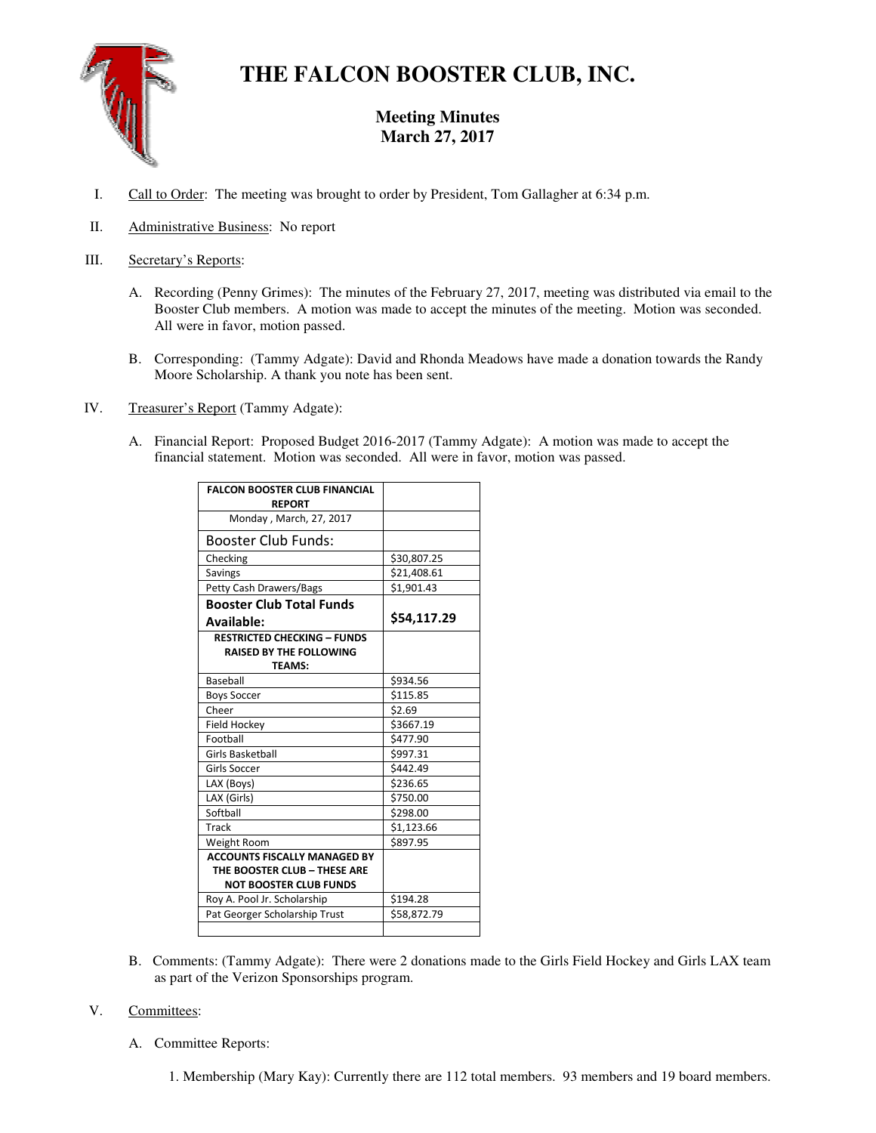

# **THE FALCON BOOSTER CLUB, INC.**

# **Meeting Minutes March 27, 2017**

- I. Call to Order: The meeting was brought to order by President, Tom Gallagher at 6:34 p.m.
- II. Administrative Business: No report
- III. Secretary's Reports:
	- A. Recording (Penny Grimes): The minutes of the February 27, 2017, meeting was distributed via email to the Booster Club members. A motion was made to accept the minutes of the meeting. Motion was seconded. All were in favor, motion passed.
	- B. Corresponding: (Tammy Adgate): David and Rhonda Meadows have made a donation towards the Randy Moore Scholarship. A thank you note has been sent.
- IV. Treasurer's Report (Tammy Adgate):
	- A. Financial Report: Proposed Budget 2016-2017 (Tammy Adgate): A motion was made to accept the financial statement. Motion was seconded. All were in favor, motion was passed.

| <b>FALCON BOOSTER CLUB FINANCIAL</b><br><b>REPORT</b> |             |
|-------------------------------------------------------|-------------|
| Monday, March, 27, 2017                               |             |
| Booster Club Funds:                                   |             |
| Checking                                              | \$30,807.25 |
| Savings                                               | \$21,408.61 |
| <b>Petty Cash Drawers/Bags</b>                        | \$1,901.43  |
| <b>Booster Club Total Funds</b>                       |             |
| <b>Available:</b>                                     | \$54,117.29 |
| <b>RESTRICTED CHECKING - FUNDS</b>                    |             |
| <b>RAISED BY THE FOLLOWING</b>                        |             |
| <b>TEAMS:</b>                                         |             |
| Baseball                                              | \$934.56    |
| <b>Boys Soccer</b>                                    | \$115.85    |
| Cheer                                                 | \$2.69      |
| Field Hockey                                          | \$3667.19   |
| Football                                              | \$477.90    |
| <b>Girls Basketball</b>                               | \$997.31    |
| Girls Soccer                                          | \$442.49    |
| LAX (Boys)                                            | \$236.65    |
| LAX (Girls)                                           | \$750.00    |
| Softball                                              | \$298.00    |
| Track                                                 | \$1,123.66  |
| Weight Room                                           | \$897.95    |
| <b>ACCOUNTS FISCALLY MANAGED BY</b>                   |             |
| THE BOOSTER CLUB - THESE ARE                          |             |
| <b>NOT BOOSTER CLUB FUNDS</b>                         |             |
| Roy A. Pool Jr. Scholarship                           | \$194.28    |
| Pat Georger Scholarship Trust                         | \$58,872.79 |
|                                                       |             |

B. Comments: (Tammy Adgate): There were 2 donations made to the Girls Field Hockey and Girls LAX team as part of the Verizon Sponsorships program.

## V. Committees:

A. Committee Reports:

1. Membership (Mary Kay): Currently there are 112 total members. 93 members and 19 board members.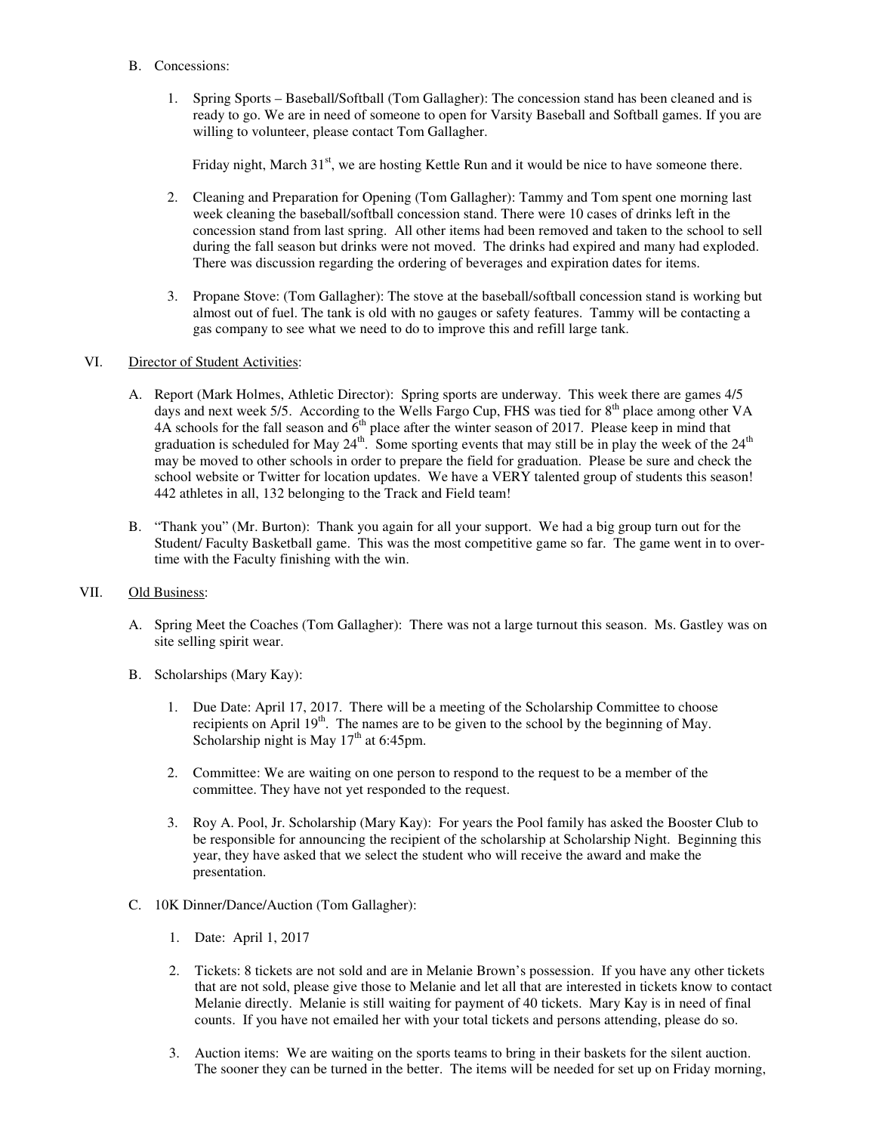- B. Concessions:
	- 1. Spring Sports Baseball/Softball (Tom Gallagher): The concession stand has been cleaned and is ready to go. We are in need of someone to open for Varsity Baseball and Softball games. If you are willing to volunteer, please contact Tom Gallagher.

Friday night, March  $31<sup>st</sup>$ , we are hosting Kettle Run and it would be nice to have someone there.

- 2. Cleaning and Preparation for Opening (Tom Gallagher): Tammy and Tom spent one morning last week cleaning the baseball/softball concession stand. There were 10 cases of drinks left in the concession stand from last spring. All other items had been removed and taken to the school to sell during the fall season but drinks were not moved. The drinks had expired and many had exploded. There was discussion regarding the ordering of beverages and expiration dates for items.
- 3. Propane Stove: (Tom Gallagher): The stove at the baseball/softball concession stand is working but almost out of fuel. The tank is old with no gauges or safety features. Tammy will be contacting a gas company to see what we need to do to improve this and refill large tank.

## VI. Director of Student Activities:

- A. Report (Mark Holmes, Athletic Director): Spring sports are underway. This week there are games 4/5 days and next week 5/5. According to the Wells Fargo Cup, FHS was tied for 8<sup>th</sup> place among other VA 4A schools for the fall season and 6<sup>th</sup> place after the winter season of 2017. Please keep in mind that graduation is scheduled for May  $24^{\text{th}}$ . Some sporting events that may still be in play the week of the  $24^{\text{th}}$ may be moved to other schools in order to prepare the field for graduation. Please be sure and check the school website or Twitter for location updates. We have a VERY talented group of students this season! 442 athletes in all, 132 belonging to the Track and Field team!
- B. "Thank you" (Mr. Burton): Thank you again for all your support. We had a big group turn out for the Student/ Faculty Basketball game. This was the most competitive game so far. The game went in to overtime with the Faculty finishing with the win.

#### VII. Old Business:

- A. Spring Meet the Coaches (Tom Gallagher): There was not a large turnout this season. Ms. Gastley was on site selling spirit wear.
- B. Scholarships (Mary Kay):
	- 1. Due Date: April 17, 2017. There will be a meeting of the Scholarship Committee to choose recipients on April  $19<sup>th</sup>$ . The names are to be given to the school by the beginning of May. Scholarship night is May  $17<sup>th</sup>$  at 6:45pm.
	- 2. Committee: We are waiting on one person to respond to the request to be a member of the committee. They have not yet responded to the request.
	- 3. Roy A. Pool, Jr. Scholarship (Mary Kay): For years the Pool family has asked the Booster Club to be responsible for announcing the recipient of the scholarship at Scholarship Night. Beginning this year, they have asked that we select the student who will receive the award and make the presentation.
- C. 10K Dinner/Dance/Auction (Tom Gallagher):
	- 1. Date: April 1, 2017
	- 2. Tickets: 8 tickets are not sold and are in Melanie Brown's possession. If you have any other tickets that are not sold, please give those to Melanie and let all that are interested in tickets know to contact Melanie directly. Melanie is still waiting for payment of 40 tickets. Mary Kay is in need of final counts. If you have not emailed her with your total tickets and persons attending, please do so.
	- 3. Auction items: We are waiting on the sports teams to bring in their baskets for the silent auction. The sooner they can be turned in the better. The items will be needed for set up on Friday morning,